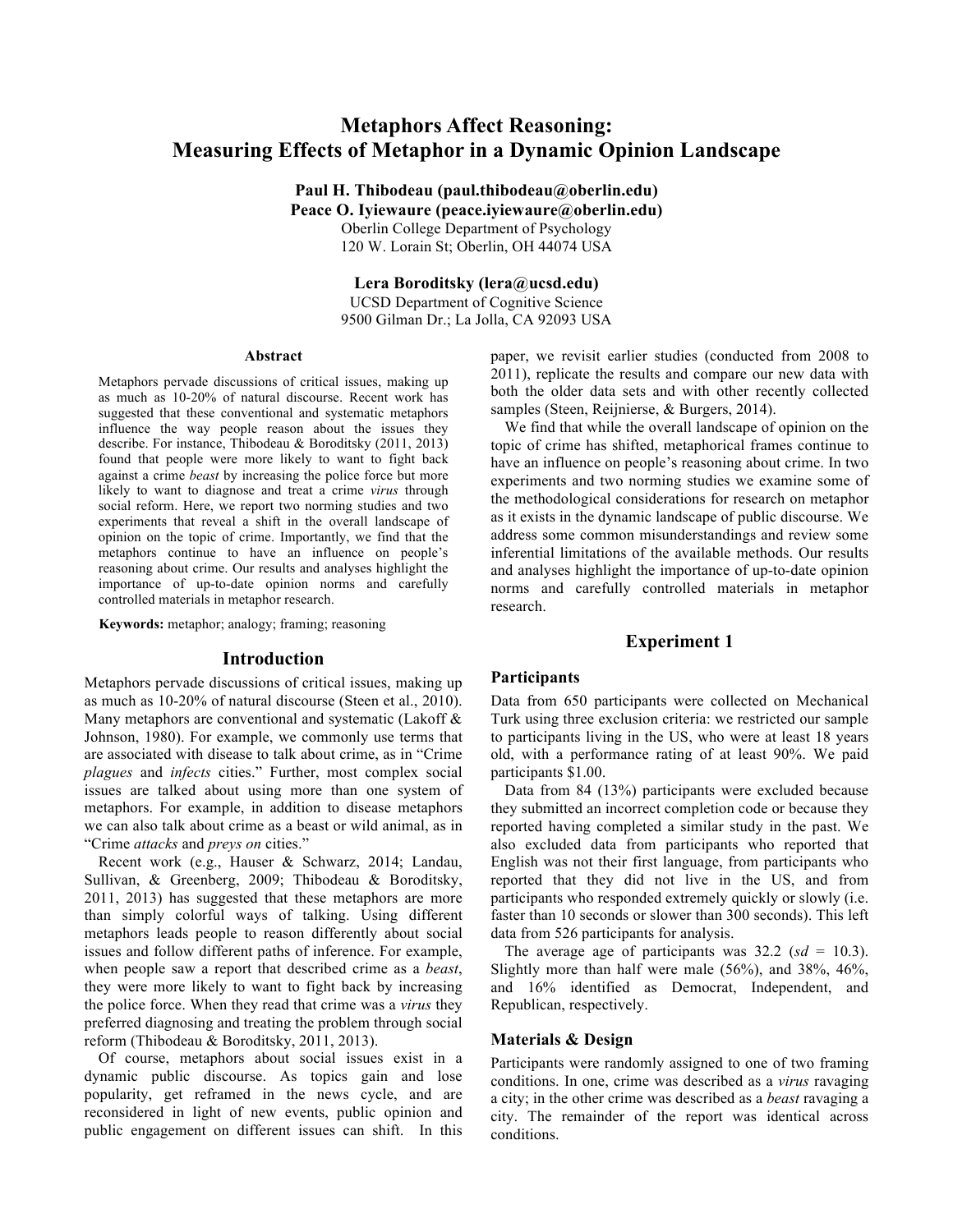# **Metaphors Affect Reasoning: Measuring Effects of Metaphor in a Dynamic Opinion Landscape**

**Paul H. Thibodeau (paul.thibodeau@oberlin.edu) Peace O. Iyiewaure (peace.iyiewaure@oberlin.edu)** Oberlin College Department of Psychology 120 W. Lorain St; Oberlin, OH 44074 USA

> **Lera Boroditsky (lera@ucsd.edu)** UCSD Department of Cognitive Science 9500 Gilman Dr.; La Jolla, CA 92093 USA

#### **Abstract**

Metaphors pervade discussions of critical issues, making up as much as 10-20% of natural discourse. Recent work has suggested that these conventional and systematic metaphors influence the way people reason about the issues they describe. For instance, Thibodeau & Boroditsky (2011, 2013) found that people were more likely to want to fight back against a crime *beast* by increasing the police force but more likely to want to diagnose and treat a crime *virus* through social reform. Here, we report two norming studies and two experiments that reveal a shift in the overall landscape of opinion on the topic of crime. Importantly, we find that the metaphors continue to have an influence on people's reasoning about crime. Our results and analyses highlight the importance of up-to-date opinion norms and carefully controlled materials in metaphor research.

**Keywords:** metaphor; analogy; framing; reasoning

#### **Introduction**

Metaphors pervade discussions of critical issues, making up as much as 10-20% of natural discourse (Steen et al., 2010). Many metaphors are conventional and systematic (Lakoff & Johnson, 1980). For example, we commonly use terms that are associated with disease to talk about crime, as in "Crime *plagues* and *infects* cities." Further, most complex social issues are talked about using more than one system of metaphors. For example, in addition to disease metaphors we can also talk about crime as a beast or wild animal, as in "Crime *attacks* and *preys on* cities."

Recent work (e.g., Hauser & Schwarz, 2014; Landau, Sullivan, & Greenberg, 2009; Thibodeau & Boroditsky, 2011, 2013) has suggested that these metaphors are more than simply colorful ways of talking. Using different metaphors leads people to reason differently about social issues and follow different paths of inference. For example, when people saw a report that described crime as a *beast*, they were more likely to want to fight back by increasing the police force. When they read that crime was a *virus* they preferred diagnosing and treating the problem through social reform (Thibodeau & Boroditsky, 2011, 2013).

Of course, metaphors about social issues exist in a dynamic public discourse. As topics gain and lose popularity, get reframed in the news cycle, and are reconsidered in light of new events, public opinion and public engagement on different issues can shift. In this

paper, we revisit earlier studies (conducted from 2008 to 2011), replicate the results and compare our new data with both the older data sets and with other recently collected samples (Steen, Reijnierse, & Burgers, 2014).

We find that while the overall landscape of opinion on the topic of crime has shifted, metaphorical frames continue to have an influence on people's reasoning about crime. In two experiments and two norming studies we examine some of the methodological considerations for research on metaphor as it exists in the dynamic landscape of public discourse. We address some common misunderstandings and review some inferential limitations of the available methods. Our results and analyses highlight the importance of up-to-date opinion norms and carefully controlled materials in metaphor research.

## **Experiment 1**

#### **Participants**

Data from 650 participants were collected on Mechanical Turk using three exclusion criteria: we restricted our sample to participants living in the US, who were at least 18 years old, with a performance rating of at least 90%. We paid participants \$1.00.

Data from 84 (13%) participants were excluded because they submitted an incorrect completion code or because they reported having completed a similar study in the past. We also excluded data from participants who reported that English was not their first language, from participants who reported that they did not live in the US, and from participants who responded extremely quickly or slowly (i.e. faster than 10 seconds or slower than 300 seconds). This left data from 526 participants for analysis.

The average age of participants was  $32.2$  ( $sd = 10.3$ ). Slightly more than half were male (56%), and 38%, 46%, and 16% identified as Democrat, Independent, and Republican, respectively.

#### **Materials & Design**

Participants were randomly assigned to one of two framing conditions. In one, crime was described as a *virus* ravaging a city; in the other crime was described as a *beast* ravaging a city. The remainder of the report was identical across conditions.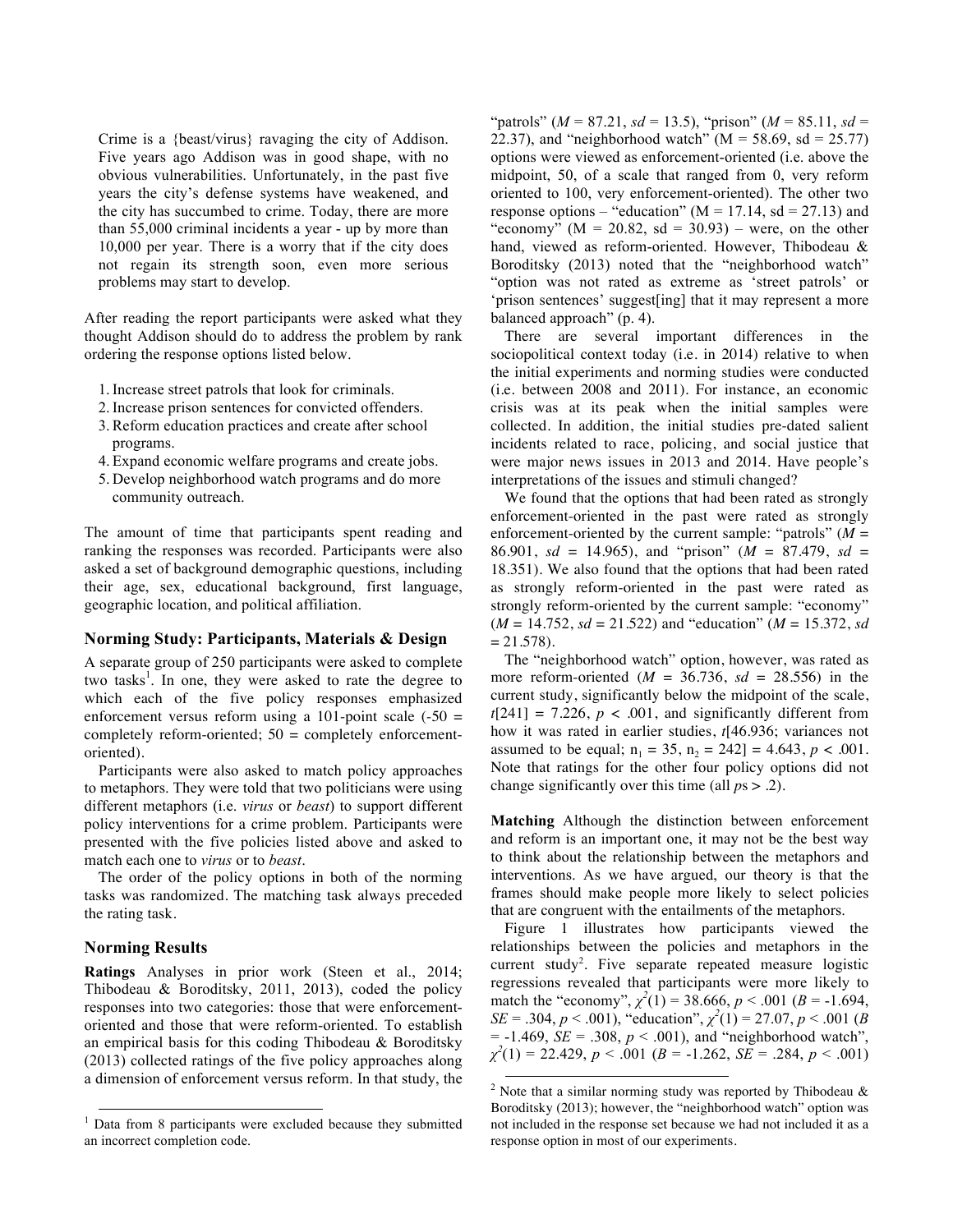Crime is a {beast/virus} ravaging the city of Addison. Five years ago Addison was in good shape, with no obvious vulnerabilities. Unfortunately, in the past five years the city's defense systems have weakened, and the city has succumbed to crime. Today, there are more than 55,000 criminal incidents a year - up by more than 10,000 per year. There is a worry that if the city does not regain its strength soon, even more serious problems may start to develop.

After reading the report participants were asked what they thought Addison should do to address the problem by rank ordering the response options listed below.

- 1.Increase street patrols that look for criminals.
- 2.Increase prison sentences for convicted offenders.
- 3.Reform education practices and create after school programs.
- 4. Expand economic welfare programs and create jobs.
- 5. Develop neighborhood watch programs and do more community outreach.

The amount of time that participants spent reading and ranking the responses was recorded. Participants were also asked a set of background demographic questions, including their age, sex, educational background, first language, geographic location, and political affiliation.

#### **Norming Study: Participants, Materials & Design**

A separate group of 250 participants were asked to complete two tasks<sup>1</sup>. In one, they were asked to rate the degree to which each of the five policy responses emphasized enforcement versus reform using a 101-point scale  $(-50 =$ completely reform-oriented; 50 = completely enforcementoriented).

Participants were also asked to match policy approaches to metaphors. They were told that two politicians were using different metaphors (i.e. *virus* or *beast*) to support different policy interventions for a crime problem. Participants were presented with the five policies listed above and asked to match each one to *virus* or to *beast*.

The order of the policy options in both of the norming tasks was randomized. The matching task always preceded the rating task.

## **Norming Results**

**Ratings** Analyses in prior work (Steen et al., 2014; Thibodeau & Boroditsky, 2011, 2013), coded the policy responses into two categories: those that were enforcementoriented and those that were reform-oriented. To establish an empirical basis for this coding Thibodeau & Boroditsky (2013) collected ratings of the five policy approaches along a dimension of enforcement versus reform. In that study, the

"patrols" (*M* = 87.21, *sd* = 13.5), "prison" (*M* = 85.11, *sd* = 22.37), and "neighborhood watch" ( $M = 58.69$ , sd = 25.77) options were viewed as enforcement-oriented (i.e. above the midpoint, 50, of a scale that ranged from 0, very reform oriented to 100, very enforcement-oriented). The other two response options – "education" ( $M = 17.14$ , sd = 27.13) and "economy" ( $M = 20.82$ , sd = 30.93) – were, on the other hand, viewed as reform-oriented. However, Thibodeau & Boroditsky (2013) noted that the "neighborhood watch" "option was not rated as extreme as 'street patrols' or 'prison sentences' suggest[ing] that it may represent a more balanced approach" (p. 4).

There are several important differences in the sociopolitical context today (i.e. in 2014) relative to when the initial experiments and norming studies were conducted (i.e. between 2008 and 2011). For instance, an economic crisis was at its peak when the initial samples were collected. In addition, the initial studies pre-dated salient incidents related to race, policing, and social justice that were major news issues in 2013 and 2014. Have people's interpretations of the issues and stimuli changed?

We found that the options that had been rated as strongly enforcement-oriented in the past were rated as strongly enforcement-oriented by the current sample: "patrols" (*M* = 86.901, *sd* = 14.965), and "prison" (*M* = 87.479, *sd* = 18.351). We also found that the options that had been rated as strongly reform-oriented in the past were rated as strongly reform-oriented by the current sample: "economy"  $(M = 14.752, sd = 21.522)$  and "education"  $(M = 15.372, sd$  $= 21.578$ .

The "neighborhood watch" option, however, was rated as more reform-oriented  $(M = 36.736, sd = 28.556)$  in the current study, significantly below the midpoint of the scale,  $t[241] = 7.226$ ,  $p < .001$ , and significantly different from how it was rated in earlier studies, *t*[46.936; variances not assumed to be equal;  $n_1 = 35$ ,  $n_2 = 242$ ] = 4.643, *p* < .001. Note that ratings for the other four policy options did not change significantly over this time (all *p*s > .2).

**Matching** Although the distinction between enforcement and reform is an important one, it may not be the best way to think about the relationship between the metaphors and interventions. As we have argued, our theory is that the frames should make people more likely to select policies that are congruent with the entailments of the metaphors.

Figure 1 illustrates how participants viewed the relationships between the policies and metaphors in the current study<sup>2</sup>. Five separate repeated measure logistic regressions revealed that participants were more likely to match the "economy",  $\chi^2(1) = 38.666$ ,  $p < .001$  ( $B = -1.694$ , *SE* = .304, *p* < .001), "education",  $\chi^2(1) = 27.07$ , *p* < .001 (*B*  $= -1.469$ , *SE* = .308, *p* < .001), and "neighborhood watch", *χ 2* (1) = 22.429, *p* < .001 (*B* = -1.262, *SE* = .284, *p* < .001)

<sup>&</sup>lt;sup>1</sup> Data from 8 participants were excluded because they submitted an incorrect completion code.

<sup>&</sup>lt;sup>2</sup> Note that a similar norming study was reported by Thibodeau  $\&$ Boroditsky (2013); however, the "neighborhood watch" option was not included in the response set because we had not included it as a response option in most of our experiments.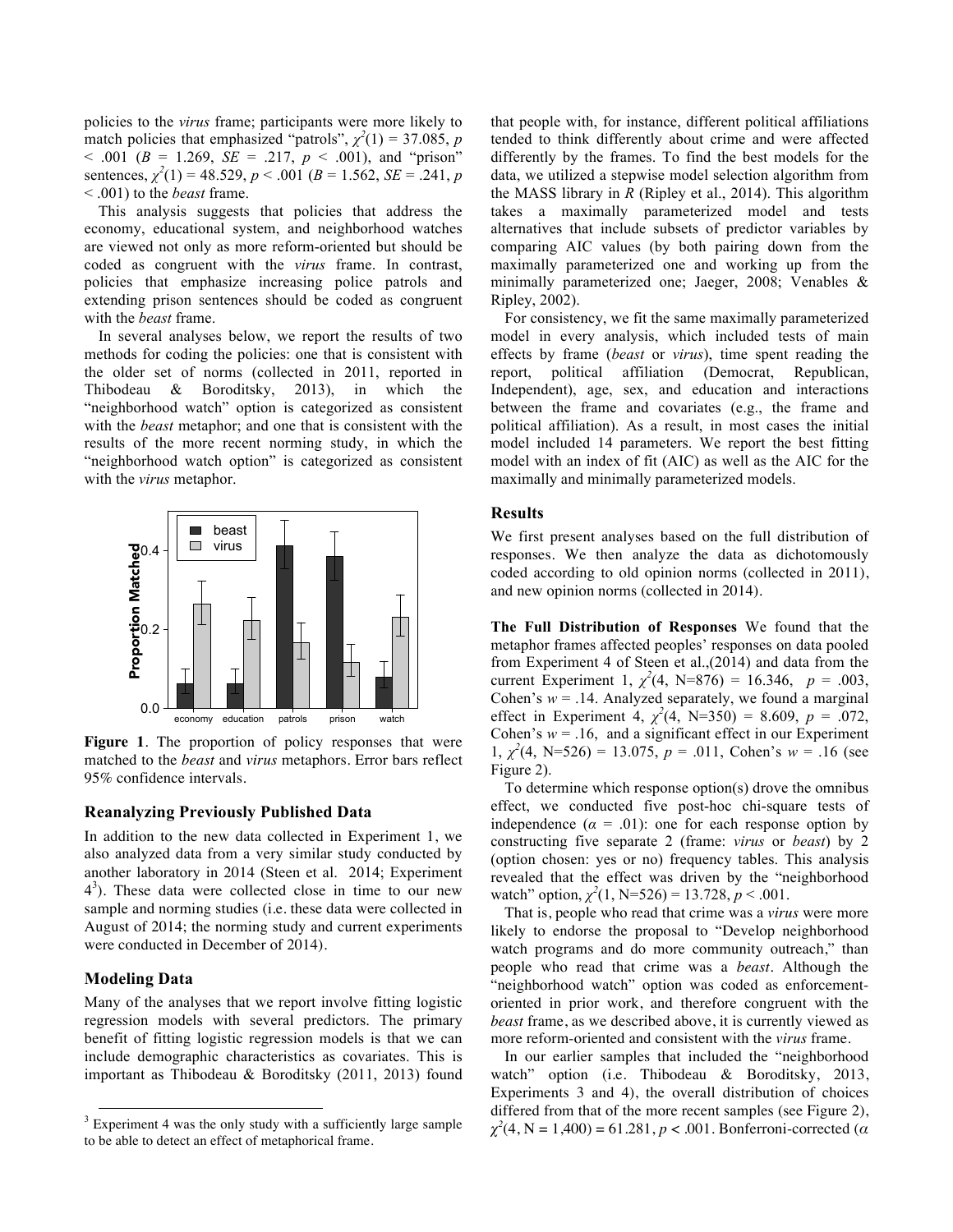policies to the *virus* frame; participants were more likely to match policies that emphasized "patrols",  $\chi^2(1) = 37.085$ , *p*  $< .001$  ( $B = 1.269$ ,  $SE = .217$ ,  $p < .001$ ), and "prison" sentences,  $\chi^2(1) = 48.529$ ,  $p < .001$  ( $B = 1.562$ ,  $SE = .241$ ,  $p$ < .001) to the *beast* frame.

This analysis suggests that policies that address the economy, educational system, and neighborhood watches are viewed not only as more reform-oriented but should be coded as congruent with the *virus* frame. In contrast, policies that emphasize increasing police patrols and extending prison sentences should be coded as congruent with the *beast* frame.

In several analyses below, we report the results of two methods for coding the policies: one that is consistent with the older set of norms (collected in 2011, reported in Thibodeau & Boroditsky, 2013), in which the "neighborhood watch" option is categorized as consistent with the *beast* metaphor; and one that is consistent with the results of the more recent norming study, in which the "neighborhood watch option" is categorized as consistent with the *virus* metaphor.



**Figure 1**. The proportion of policy responses that were matched to the *beast* and *virus* metaphors. Error bars reflect 95% confidence intervals.

### **Reanalyzing Previously Published Data**

In addition to the new data collected in Experiment 1, we also analyzed data from a very similar study conducted by another laboratory in 2014 (Steen et al. 2014; Experiment 43 ). These data were collected close in time to our new sample and norming studies (i.e. these data were collected in August of 2014; the norming study and current experiments were conducted in December of 2014).

#### **Modeling Data**

Many of the analyses that we report involve fitting logistic regression models with several predictors. The primary benefit of fitting logistic regression models is that we can include demographic characteristics as covariates. This is important as Thibodeau & Boroditsky (2011, 2013) found

that people with, for instance, different political affiliations tended to think differently about crime and were affected differently by the frames. To find the best models for the data, we utilized a stepwise model selection algorithm from the MASS library in *R* (Ripley et al., 2014). This algorithm takes a maximally parameterized model and tests alternatives that include subsets of predictor variables by comparing AIC values (by both pairing down from the maximally parameterized one and working up from the minimally parameterized one; Jaeger, 2008; Venables & Ripley, 2002).

For consistency, we fit the same maximally parameterized model in every analysis, which included tests of main effects by frame (*beast* or *virus*), time spent reading the report, political affiliation (Democrat, Republican, Independent), age, sex, and education and interactions between the frame and covariates (e.g., the frame and political affiliation). As a result, in most cases the initial model included 14 parameters. We report the best fitting model with an index of fit (AIC) as well as the AIC for the maximally and minimally parameterized models.

#### **Results**

We first present analyses based on the full distribution of responses. We then analyze the data as dichotomously coded according to old opinion norms (collected in 2011), and new opinion norms (collected in 2014).

**The Full Distribution of Responses** We found that the metaphor frames affected peoples' responses on data pooled from Experiment 4 of Steen et al.,(2014) and data from the current Experiment 1,  $\chi^2(4, \text{ N=876}) = 16.346, p = .003,$ Cohen's  $w = .14$ . Analyzed separately, we found a marginal effect in Experiment 4,  $\chi^2(4)$ , N=350) = 8.609,  $p = .072$ , Cohen's  $w = .16$ , and a significant effect in our Experiment 1,  $\chi^2$ (4, N=526) = 13.075,  $p = .011$ , Cohen's  $w = .16$  (see Figure 2).

To determine which response option(s) drove the omnibus effect, we conducted five post-hoc chi-square tests of independence  $(a = .01)$ : one for each response option by constructing five separate 2 (frame: *virus* or *beast*) by 2 (option chosen: yes or no) frequency tables. This analysis revealed that the effect was driven by the "neighborhood watch" option,  $\chi^2(1, N=526) = 13.728$ ,  $p < .001$ .

That is, people who read that crime was a *virus* were more likely to endorse the proposal to "Develop neighborhood watch programs and do more community outreach," than people who read that crime was a *beast*. Although the "neighborhood watch" option was coded as enforcementoriented in prior work, and therefore congruent with the *beast* frame, as we described above, it is currently viewed as more reform-oriented and consistent with the *virus* frame.

In our earlier samples that included the "neighborhood watch" option (i.e. Thibodeau & Boroditsky, 2013, Experiments 3 and 4), the overall distribution of choices differed from that of the more recent samples (see Figure 2), *χ2* (4, N = 1,400) = 61.281, *p* < .001. Bonferroni-corrected (*α*

 $3$  Experiment 4 was the only study with a sufficiently large sample to be able to detect an effect of metaphorical frame.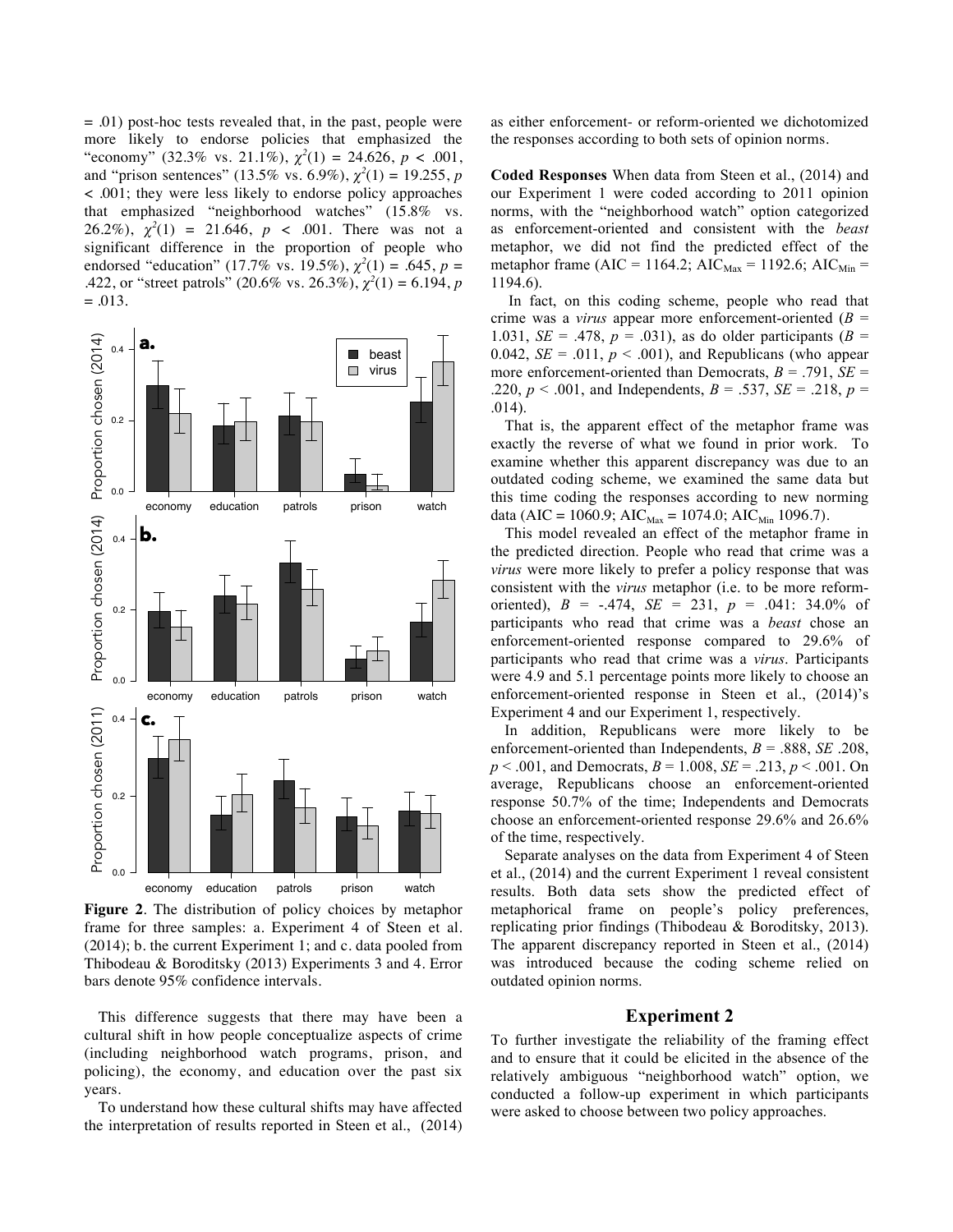$= .01$ ) post-hoc tests revealed that, in the past, people were more likely to endorse policies that emphasized the "economy" (32.3% vs. 21.1%),  $\chi^2(1) = 24.626$ ,  $p < .001$ , and "prison sentences" (13.5% vs. 6.9%),  $\chi^2(1) = 19.255$ , *p* < .001; they were less likely to endorse policy approaches that emphasized "neighborhood watches" (15.8% vs. 26.2%),  $\chi^2(1) = 21.646$ ,  $p < .001$ . There was not a significant difference in the proportion of people who endorsed "education" (17.7% vs. 19.5%),  $\chi^2(1) = .645$ ,  $p =$ .422, or "street patrols" (20.6% vs. 26.3%),  $\chi^2(1) = 6.194$ , *p*  $=.013.$ 



**Figure 2**. The distribution of policy choices by metaphor frame for three samples: a. Experiment 4 of Steen et al. (2014); b. the current Experiment 1; and c. data pooled from Thibodeau & Boroditsky (2013) Experiments 3 and 4. Error bars denote 95% confidence intervals.

This difference suggests that there may have been a cultural shift in how people conceptualize aspects of crime (including neighborhood watch programs, prison, and policing), the economy, and education over the past six years.

To understand how these cultural shifts may have affected the interpretation of results reported in Steen et al., (2014)

as either enforcement- or reform-oriented we dichotomized the responses according to both sets of opinion norms.

**Coded Responses** When data from Steen et al., (2014) and our Experiment 1 were coded according to 2011 opinion norms, with the "neighborhood watch" option categorized as enforcement-oriented and consistent with the *beast* metaphor, we did not find the predicted effect of the metaphor frame (AIC = 1164.2; AIC $_{\text{Max}}$  = 1192.6; AIC $_{\text{Min}}$  = 1194.6).

In fact, on this coding scheme, people who read that crime was a *virus* appear more enforcement-oriented (*B* = 1.031, *SE* = .478,  $p = .031$ , as do older participants ( $B =$ 0.042,  $SE = .011$ ,  $p < .001$ ), and Republicans (who appear more enforcement-oriented than Democrats,  $B = .791$ ,  $SE =$ .220,  $p < .001$ , and Independents,  $B = .537$ ,  $SE = .218$ ,  $p = .001$ .014).

That is, the apparent effect of the metaphor frame was exactly the reverse of what we found in prior work. To examine whether this apparent discrepancy was due to an outdated coding scheme, we examined the same data but this time coding the responses according to new norming data (AIC = 1060.9; AIC<sub>Max</sub> = 1074.0; AIC<sub>Min</sub> 1096.7).

This model revealed an effect of the metaphor frame in  $\epsilon$  the predicted direction. People who read that crime was a *virus* were more likely to prefer a policy response that was consistent with the *virus* metaphor (i.e. to be more reformoriented),  $B = -.474$ ,  $SE = 231$ ,  $p = .041$ : 34.0% of participants who read that crime was a *beast* chose an enforcement-oriented response compared to 29.6% of participants who read that crime was a *virus*. Participants were 4.9 and 5.1 percentage points more likely to choose an enforcement-oriented response in Steen et al., (2014)'s Experiment 4 and our Experiment 1, respectively.

> In addition, Republicans were more likely to be enforcement-oriented than Independents,  $B = .888$ , *SE* .208, *p* < .001, and Democrats, *B* = 1.008, *SE* = .213, *p* < .001. On average, Republicans choose an enforcement-oriented response 50.7% of the time; Independents and Democrats choose an enforcement-oriented response 29.6% and 26.6% of the time, respectively.

> Separate analyses on the data from Experiment 4 of Steen et al., (2014) and the current Experiment 1 reveal consistent results. Both data sets show the predicted effect of metaphorical frame on people's policy preferences, replicating prior findings (Thibodeau & Boroditsky, 2013). The apparent discrepancy reported in Steen et al., (2014) was introduced because the coding scheme relied on outdated opinion norms.

#### **Experiment 2**

To further investigate the reliability of the framing effect and to ensure that it could be elicited in the absence of the relatively ambiguous "neighborhood watch" option, we conducted a follow-up experiment in which participants were asked to choose between two policy approaches.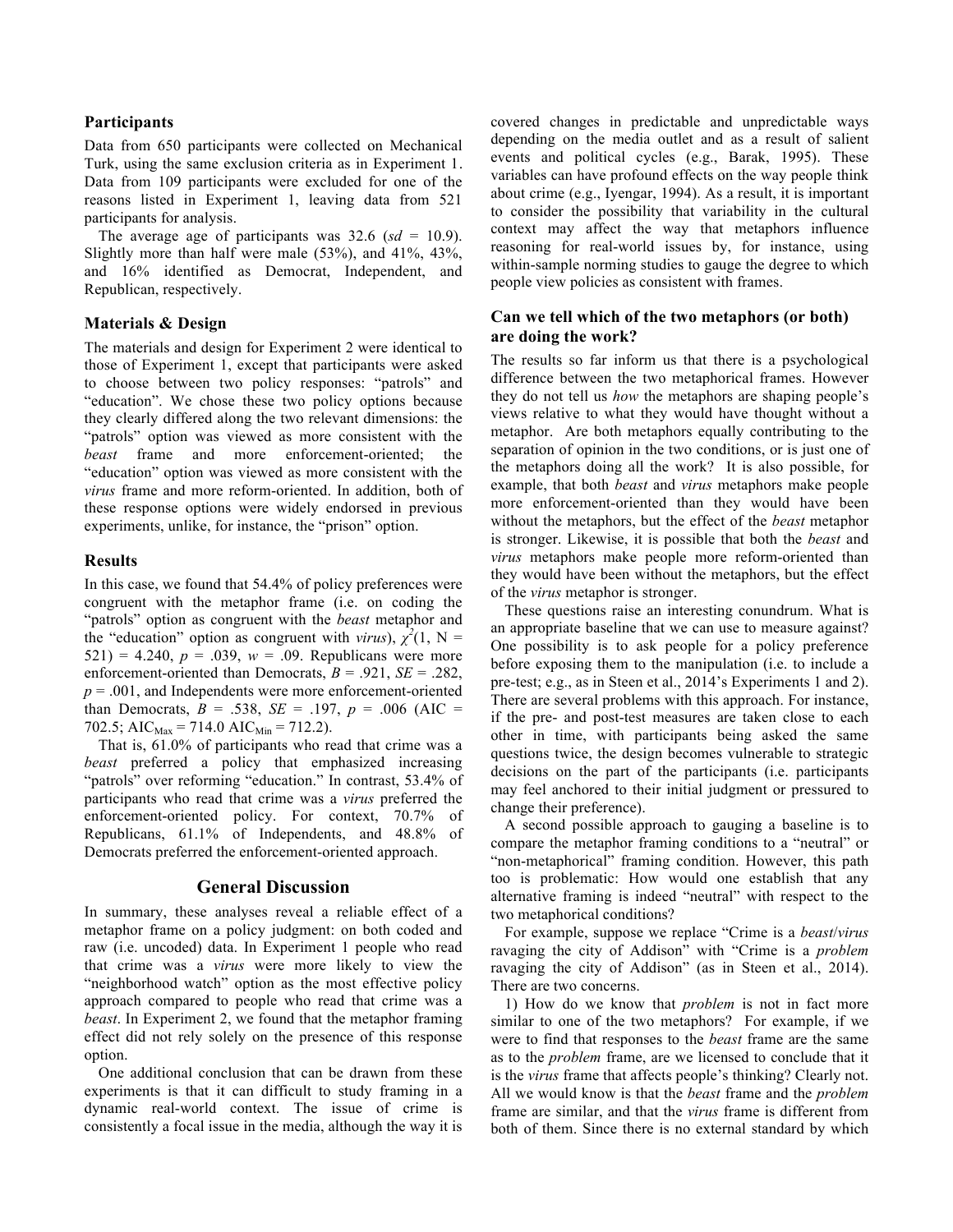### **Participants**

Data from 650 participants were collected on Mechanical Turk, using the same exclusion criteria as in Experiment 1. Data from 109 participants were excluded for one of the reasons listed in Experiment 1, leaving data from 521 participants for analysis.

The average age of participants was  $32.6$  ( $sd = 10.9$ ). Slightly more than half were male (53%), and 41%, 43%, and 16% identified as Democrat, Independent, and Republican, respectively.

## **Materials & Design**

The materials and design for Experiment 2 were identical to those of Experiment 1, except that participants were asked to choose between two policy responses: "patrols" and "education". We chose these two policy options because they clearly differed along the two relevant dimensions: the "patrols" option was viewed as more consistent with the *beast* frame and more enforcement-oriented; the "education" option was viewed as more consistent with the *virus* frame and more reform-oriented. In addition, both of these response options were widely endorsed in previous experiments, unlike, for instance, the "prison" option.

### **Results**

In this case, we found that 54.4% of policy preferences were congruent with the metaphor frame (i.e. on coding the "patrols" option as congruent with the *beast* metaphor and the "education" option as congruent with *virus*),  $\chi^2(1, N =$ 521) = 4.240,  $p = .039$ ,  $w = .09$ . Republicans were more enforcement-oriented than Democrats,  $B = .921$ ,  $SE = .282$ ,  $p = .001$ , and Independents were more enforcement-oriented than Democrats,  $B = .538$ ,  $SE = .197$ ,  $p = .006$  (AIC = 702.5; AIC<sub>Max</sub> = 714.0 AIC<sub>Min</sub> = 712.2).

That is, 61.0% of participants who read that crime was a *beast* preferred a policy that emphasized increasing "patrols" over reforming "education." In contrast, 53.4% of participants who read that crime was a *virus* preferred the enforcement-oriented policy. For context, 70.7% of Republicans, 61.1% of Independents, and 48.8% of Democrats preferred the enforcement-oriented approach.

### **General Discussion**

In summary, these analyses reveal a reliable effect of a metaphor frame on a policy judgment: on both coded and raw (i.e. uncoded) data. In Experiment 1 people who read that crime was a *virus* were more likely to view the "neighborhood watch" option as the most effective policy approach compared to people who read that crime was a *beast*. In Experiment 2, we found that the metaphor framing effect did not rely solely on the presence of this response option.

One additional conclusion that can be drawn from these experiments is that it can difficult to study framing in a dynamic real-world context. The issue of crime is consistently a focal issue in the media, although the way it is covered changes in predictable and unpredictable ways depending on the media outlet and as a result of salient events and political cycles (e.g., Barak, 1995). These variables can have profound effects on the way people think about crime (e.g., Iyengar, 1994). As a result, it is important to consider the possibility that variability in the cultural context may affect the way that metaphors influence reasoning for real-world issues by, for instance, using within-sample norming studies to gauge the degree to which people view policies as consistent with frames.

## **Can we tell which of the two metaphors (or both) are doing the work?**

The results so far inform us that there is a psychological difference between the two metaphorical frames. However they do not tell us *how* the metaphors are shaping people's views relative to what they would have thought without a metaphor. Are both metaphors equally contributing to the separation of opinion in the two conditions, or is just one of the metaphors doing all the work? It is also possible, for example, that both *beast* and *virus* metaphors make people more enforcement-oriented than they would have been without the metaphors, but the effect of the *beast* metaphor is stronger. Likewise, it is possible that both the *beast* and *virus* metaphors make people more reform-oriented than they would have been without the metaphors, but the effect of the *virus* metaphor is stronger.

These questions raise an interesting conundrum. What is an appropriate baseline that we can use to measure against? One possibility is to ask people for a policy preference before exposing them to the manipulation (i.e. to include a pre-test; e.g., as in Steen et al., 2014's Experiments 1 and 2). There are several problems with this approach. For instance, if the pre- and post-test measures are taken close to each other in time, with participants being asked the same questions twice, the design becomes vulnerable to strategic decisions on the part of the participants (i.e. participants may feel anchored to their initial judgment or pressured to change their preference).

A second possible approach to gauging a baseline is to compare the metaphor framing conditions to a "neutral" or "non-metaphorical" framing condition. However, this path too is problematic: How would one establish that any alternative framing is indeed "neutral" with respect to the two metaphorical conditions?

For example, suppose we replace "Crime is a *beast*/*virus* ravaging the city of Addison" with "Crime is a *problem* ravaging the city of Addison" (as in Steen et al., 2014). There are two concerns.

1) How do we know that *problem* is not in fact more similar to one of the two metaphors? For example, if we were to find that responses to the *beast* frame are the same as to the *problem* frame, are we licensed to conclude that it is the *virus* frame that affects people's thinking? Clearly not. All we would know is that the *beast* frame and the *problem* frame are similar, and that the *virus* frame is different from both of them. Since there is no external standard by which